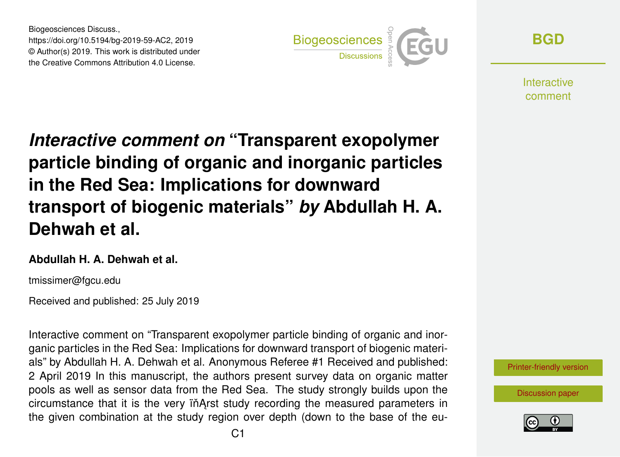Biogeosciences Discuss., https://doi.org/10.5194/bg-2019-59-AC2, 2019 © Author(s) 2019. This work is distributed under the Creative Commons Attribution 4.0 License.



**[BGD](https://www.biogeosciences-discuss.net/)**

**Interactive** comment

*Interactive comment on* **"Transparent exopolymer particle binding of organic and inorganic particles in the Red Sea: Implications for downward transport of biogenic materials"** *by* **Abdullah H. A. Dehwah et al.**

## **Abdullah H. A. Dehwah et al.**

tmissimer@fgcu.edu

Received and published: 25 July 2019

Interactive comment on "Transparent exopolymer particle binding of organic and inorganic particles in the Red Sea: Implications for downward transport of biogenic materials" by Abdullah H. A. Dehwah et al. Anonymous Referee #1 Received and published: 2 April 2019 In this manuscript, the authors present survey data on organic matter pools as well as sensor data from the Red Sea. The study strongly builds upon the circumstance that it is the very in Arst study recording the measured parameters in the given combination at the study region over depth (down to the base of the eu-



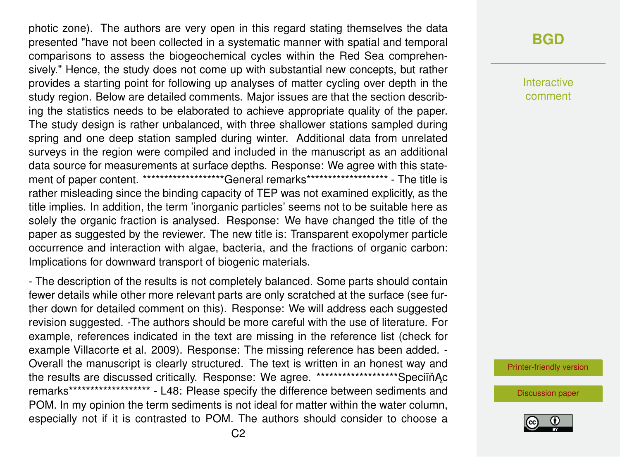photic zone). The authors are very open in this regard stating themselves the data presented "have not been collected in a systematic manner with spatial and temporal comparisons to assess the biogeochemical cycles within the Red Sea comprehensively." Hence, the study does not come up with substantial new concepts, but rather provides a starting point for following up analyses of matter cycling over depth in the study region. Below are detailed comments. Major issues are that the section describing the statistics needs to be elaborated to achieve appropriate quality of the paper. The study design is rather unbalanced, with three shallower stations sampled during spring and one deep station sampled during winter. Additional data from unrelated surveys in the region were compiled and included in the manuscript as an additional data source for measurements at surface depths. Response: We agree with this statement of paper content. \*\*\*\*\*\*\*\*\*\*\*\*\*\*\*\*\*\*\*\*General remarks\*\*\*\*\*\*\*\*\*\*\*\*\*\*\*\*\*\*\*\*\* - The title is rather misleading since the binding capacity of TEP was not examined explicitly, as the title implies. In addition, the term 'inorganic particles' seems not to be suitable here as solely the organic fraction is analysed. Response: We have changed the title of the paper as suggested by the reviewer. The new title is: Transparent exopolymer particle occurrence and interaction with algae, bacteria, and the fractions of organic carbon: Implications for downward transport of biogenic materials.

- The description of the results is not completely balanced. Some parts should contain fewer details while other more relevant parts are only scratched at the surface (see further down for detailed comment on this). Response: We will address each suggested revision suggested. -The authors should be more careful with the use of literature. For example, references indicated in the text are missing in the reference list (check for example Villacorte et al. 2009). Response: The missing reference has been added. - Overall the manuscript is clearly structured. The text is written in an honest way and the results are discussed critically. Response: We agree. \*\*\*\*\*\*\*\*\*\*\*\*\*\*\*\*\*\*\*\*SpeciïňAc remarks\*\*\*\*\*\*\*\*\*\*\*\*\*\*\*\*\*\*\* - L48: Please specify the difference between sediments and POM. In my opinion the term sediments is not ideal for matter within the water column, especially not if it is contrasted to POM. The authors should consider to choose a

## **[BGD](https://www.biogeosciences-discuss.net/)**

Interactive comment

[Printer-friendly version](https://www.biogeosciences-discuss.net/bg-2019-59/bg-2019-59-AC2-print.pdf)

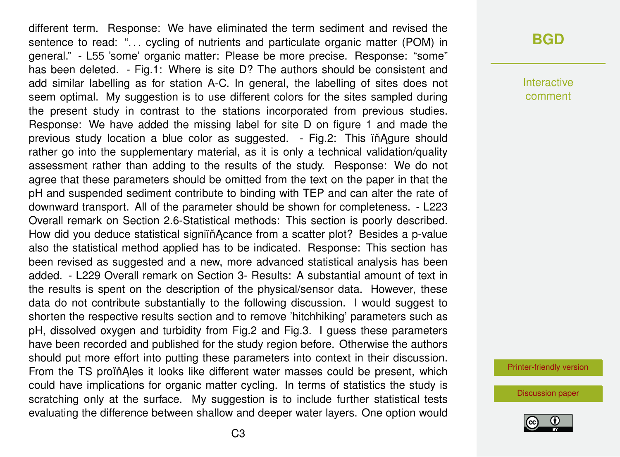different term. Response: We have eliminated the term sediment and revised the sentence to read: "... cycling of nutrients and particulate organic matter (POM) in general." - L55 'some' organic matter: Please be more precise. Response: "some" has been deleted. - Fig.1: Where is site D? The authors should be consistent and add similar labelling as for station A-C. In general, the labelling of sites does not seem optimal. My suggestion is to use different colors for the sites sampled during the present study in contrast to the stations incorporated from previous studies. Response: We have added the missing label for site D on figure 1 and made the previous study location a blue color as suggested. - Fig.2: This in Agure should rather go into the supplementary material, as it is only a technical validation/quality assessment rather than adding to the results of the study. Response: We do not agree that these parameters should be omitted from the text on the paper in that the pH and suspended sediment contribute to binding with TEP and can alter the rate of downward transport. All of the parameter should be shown for completeness. - L223 Overall remark on Section 2.6-Statistical methods: This section is poorly described. How did you deduce statistical signiin Acance from a scatter plot? Besides a p-value also the statistical method applied has to be indicated. Response: This section has been revised as suggested and a new, more advanced statistical analysis has been added. - L229 Overall remark on Section 3- Results: A substantial amount of text in the results is spent on the description of the physical/sensor data. However, these data do not contribute substantially to the following discussion. I would suggest to shorten the respective results section and to remove 'hitchhiking' parameters such as pH, dissolved oxygen and turbidity from Fig.2 and Fig.3. I guess these parameters have been recorded and published for the study region before. Otherwise the authors should put more effort into putting these parameters into context in their discussion. From the TS proin Ales it looks like different water masses could be present, which could have implications for organic matter cycling. In terms of statistics the study is scratching only at the surface. My suggestion is to include further statistical tests evaluating the difference between shallow and deeper water layers. One option would

## **[BGD](https://www.biogeosciences-discuss.net/)**

Interactive comment

[Printer-friendly version](https://www.biogeosciences-discuss.net/bg-2019-59/bg-2019-59-AC2-print.pdf)

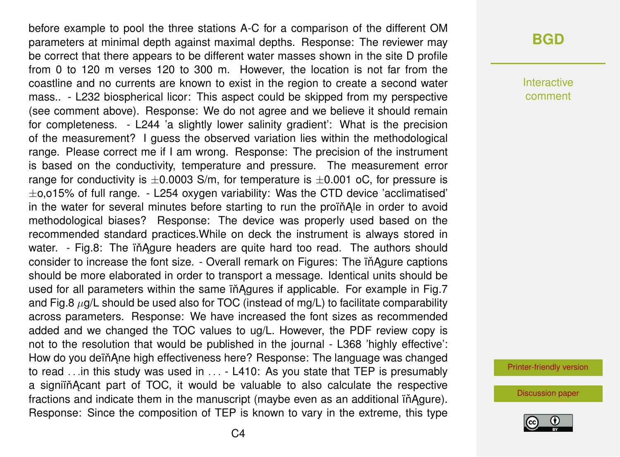before example to pool the three stations A-C for a comparison of the different OM parameters at minimal depth against maximal depths. Response: The reviewer may be correct that there appears to be different water masses shown in the site D profile from 0 to 120 m verses 120 to 300 m. However, the location is not far from the coastline and no currents are known to exist in the region to create a second water mass.. - L232 biospherical licor: This aspect could be skipped from my perspective (see comment above). Response: We do not agree and we believe it should remain for completeness. - L244 'a slightly lower salinity gradient': What is the precision of the measurement? I guess the observed variation lies within the methodological range. Please correct me if I am wrong. Response: The precision of the instrument is based on the conductivity, temperature and pressure. The measurement error range for conductivity is  $\pm 0.0003$  S/m, for temperature is  $\pm 0.001$  oC, for pressure is  $\pm$ 0,015% of full range. - L254 oxygen variability: Was the CTD device 'acclimatised' in the water for several minutes before starting to run the proin Ale in order to avoid methodological biases? Response: The device was properly used based on the recommended standard practices.While on deck the instrument is always stored in water. - Fig.8: The in Agure headers are quite hard too read. The authors should consider to increase the font size. - Overall remark on Figures: The in Agure captions should be more elaborated in order to transport a message. Identical units should be used for all parameters within the same in Agures if applicable. For example in Fig.7 and Fig.8  $\mu$ g/L should be used also for TOC (instead of mg/L) to facilitate comparability across parameters. Response: We have increased the font sizes as recommended added and we changed the TOC values to ug/L. However, the PDF review copy is not to the resolution that would be published in the journal - L368 'highly effective': How do you dein Ane high effectiveness here? Response: The language was changed to read . . .in this study was used in . . . - L410: As you state that TEP is presumably a signiin Acant part of TOC, it would be valuable to also calculate the respective fractions and indicate them in the manuscript (maybe even as an additional in Agure). Response: Since the composition of TEP is known to vary in the extreme, this type

**Interactive** comment

[Printer-friendly version](https://www.biogeosciences-discuss.net/bg-2019-59/bg-2019-59-AC2-print.pdf)